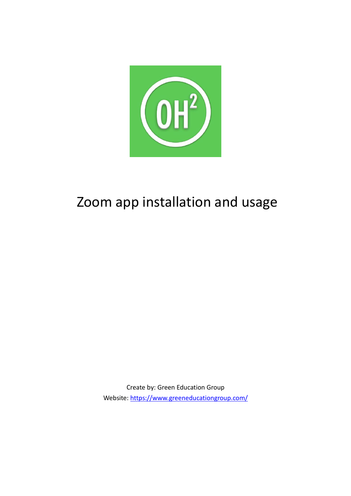

# Zoom app installation and usage

Create by: Green Education Group Website:<https://www.greeneducationgroup.com/>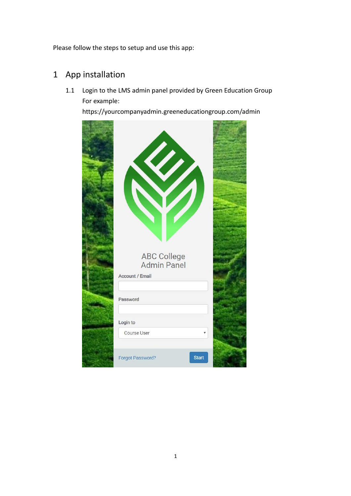Please follow the steps to setup and use this app:

### 1 App installation

1.1 Login to the LMS admin panel provided by Green Education Group For example:

https://yourcompanyadmin.greeneducationgroup.com/admin

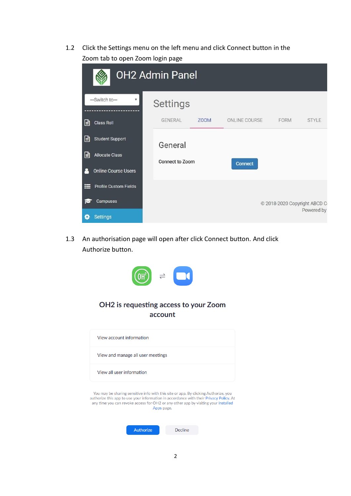1.2 Click the Settings menu on the left menu and click Connect button in the Zoom tab to open Zoom login page

|       | <b>OH2 Admin Panel</b>       |                        |      |               |                              |              |
|-------|------------------------------|------------------------|------|---------------|------------------------------|--------------|
|       | --Switch to-<br>۳            | Settings               |      |               |                              |              |
| 目     | <b>Class Roll</b>            | GENERAL                | Z00M | ONLINE COURSE | FORM                         | <b>STYLE</b> |
| 目     | <b>Student Support</b>       | General                |      |               |                              |              |
| 目     | <b>Allocate Class</b>        | <b>Connect to Zoom</b> |      | Connect       |                              |              |
|       | <b>Online Course Users</b>   |                        |      |               |                              |              |
| ⊨     | <b>Profile Custom Fields</b> |                        |      |               |                              |              |
| r     | Campuses                     |                        |      |               | © 2018-2020 Copyright ABCD C |              |
| t o : | <b>Settings</b>              |                        |      |               |                              | Powered by   |

1.3 An authorisation page will open after click Connect button. And click Authorize button.



account

| View account information          |  |
|-----------------------------------|--|
| View and manage all user meetings |  |
| View all user information         |  |
|                                   |  |

You may be sharing sensitive info with this site or app. By clicking Authorize, you authorize this app to use your information in accordance with their Privacy Policy. At any time you can revoke access for OH2 or any other app by visiting your Installed Apps page.

| Authorize | Decline |
|-----------|---------|
|-----------|---------|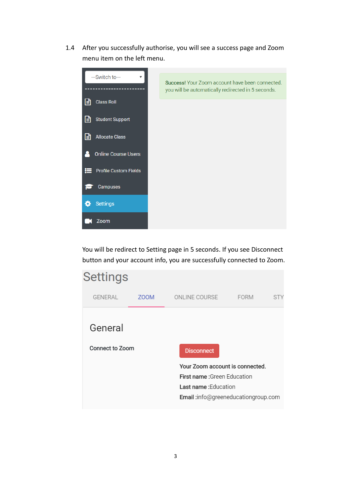1.4 After you successfully authorise, you will see a success page and Zoom menu item on the left menu.



You will be redirect to Setting page in 5 seconds. If you see Disconnect button and your account info, you are successfully connected to Zoom.

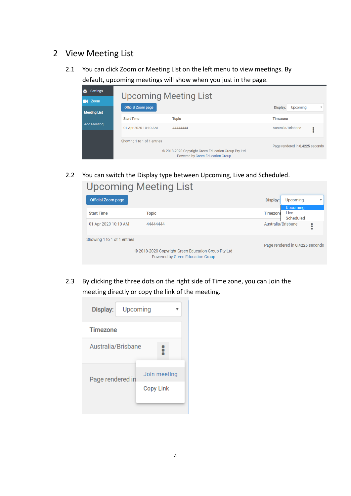#### 2 View Meeting List

2.1 You can click Zoom or Meeting List on the left menu to view meetings. By default, upcoming meetings will show when you just in the page.

| <b>O</b><br><b>Settings</b><br><b>Upcoming Meeting List</b> |                             |                                                                                         |                                 |  |
|-------------------------------------------------------------|-----------------------------|-----------------------------------------------------------------------------------------|---------------------------------|--|
| Zoom<br><b>Meeting List</b>                                 | <b>Official Zoom page</b>   |                                                                                         | Upcoming<br>Display:            |  |
| Add Meeting                                                 | <b>Start Time</b>           | <b>Topic</b>                                                                            | <b>Timezone</b>                 |  |
|                                                             | 01 Apr 2020 10:10 AM        | 44444444                                                                                | Australia/Brisbane<br>:         |  |
|                                                             | Showing 1 to 1 of 1 entries | © 2018-2020 Copyright Green Education Group Pty Ltd<br>Powered by Green Education Group | Page rendered in 0.4225 seconds |  |

2.2 You can switch the Display type between Upcoming, Live and Scheduled. **Upcoming Meeting List** 

| <b>Official Zoom page</b>   |                                                     | Display:           | Upcoming                        |        |
|-----------------------------|-----------------------------------------------------|--------------------|---------------------------------|--------|
|                             |                                                     |                    | <b>Upcoming</b>                 |        |
| <b>Start Time</b>           | Topic                                               | <b>Timezone</b>    | Live                            |        |
|                             |                                                     |                    | Scheduled                       |        |
| 01 Apr 2020 10:10 AM        | 44444444                                            | Australia/Brisbane |                                 | :<br>٠ |
| Showing 1 to 1 of 1 entries |                                                     |                    |                                 |        |
|                             |                                                     |                    | Page rendered in 0.4225 seconds |        |
|                             | © 2018-2020 Copyright Green Education Group Pty Ltd |                    |                                 |        |
|                             | Powered by Green Education Group                    |                    |                                 |        |
|                             |                                                     |                    |                                 |        |

2.3 By clicking the three dots on the right side of Time zone, you can Join the meeting directly or copy the link of the meeting.

| Display:           | Upcoming     |  |  |  |
|--------------------|--------------|--|--|--|
| <b>Timezone</b>    |              |  |  |  |
| Australia/Brisbane |              |  |  |  |
| Page rendered in   | Join meeting |  |  |  |
|                    | Copy Link    |  |  |  |
|                    |              |  |  |  |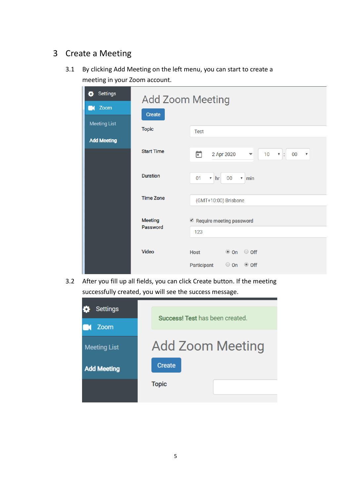#### 3 Create a Meeting

3.1 By clicking Add Meeting on the left menu, you can start to create a meeting in your Zoom account.

| <b>Settings</b><br>õ<br>Zoom<br><b>Meeting List</b> | <b>Add Zoom Meeting</b><br>Create                             |                                                                                                       |  |  |  |
|-----------------------------------------------------|---------------------------------------------------------------|-------------------------------------------------------------------------------------------------------|--|--|--|
| <b>Add Meeting</b>                                  | <b>Topic</b>                                                  | <b>Test</b>                                                                                           |  |  |  |
|                                                     | <b>Start Time</b>                                             | ö<br>2 Apr 2020<br>10<br>00<br>$\mathbf{v}$ :<br>$\boldsymbol{\mathrm{v}}$<br>$\overline{\mathbf{v}}$ |  |  |  |
|                                                     | <b>Duration</b>                                               | 00<br>01<br>$\boldsymbol{\mathrm{v}}$<br>hr<br>$v$ min                                                |  |  |  |
| <b>Time Zone</b><br>(GMT+10:00) Brisbane            |                                                               |                                                                                                       |  |  |  |
|                                                     | <b>Meeting</b><br>Require meeting password<br>Password<br>123 |                                                                                                       |  |  |  |
|                                                     | Video                                                         | $\circ$ off<br>$\bullet$ On<br><b>Host</b>                                                            |  |  |  |
|                                                     |                                                               | Participant                                                                                           |  |  |  |

3.2 After you fill up all fields, you can click Create button. If the meeting successfully created, you will see the success message.

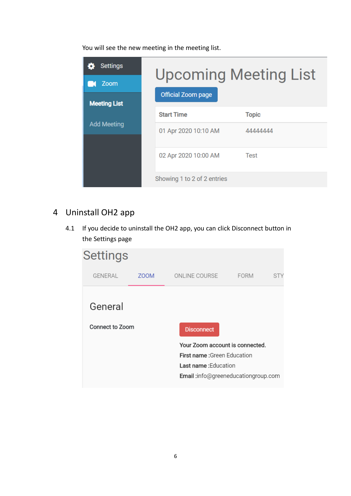You will see the new meeting in the meeting list.

| <b>Settings</b><br>Zoom<br><b>Meeting List</b> | <b>Official Zoom page</b>   | <b>Upcoming Meeting List</b> |
|------------------------------------------------|-----------------------------|------------------------------|
|                                                | <b>Start Time</b>           | <b>Topic</b>                 |
| <b>Add Meeting</b>                             | 01 Apr 2020 10:10 AM        | 44444444                     |
|                                                | 02 Apr 2020 10:00 AM        | Test                         |
|                                                | Showing 1 to 2 of 2 entries |                              |

## 4 Uninstall OH2 app

4.1 If you decide to uninstall the OH2 app, you can click Disconnect button in the Settings page